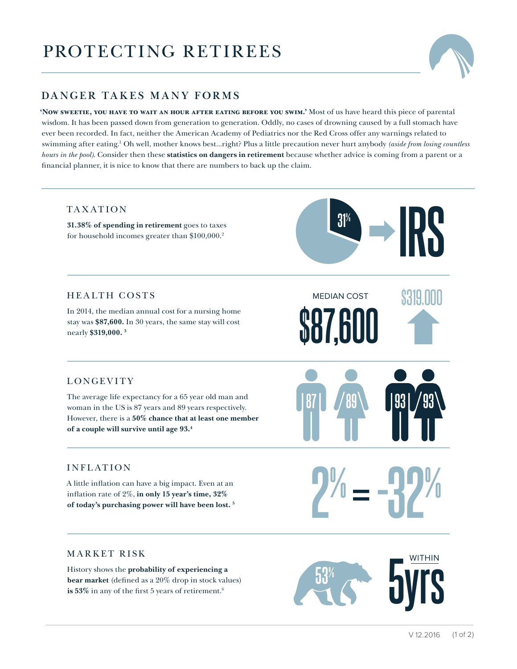## PROTECTING RETIREES



## **DANGER TAKES MANY FORMS**

**'Now sweetie, you have to wait an hour after eating before you swim.'** Most of us have heard this piece of parental wisdom. It has been passed down from generation to generation. Oddly, no cases of drowning caused by a full stomach have ever been recorded. In fact, neither the American Academy of Pediatrics nor the Red Cross offer any warnings related to swimming after eating.1 Oh well, mother knows best...right? Plus a little precaution never hurt anybody *(aside from losing countless hours in the pool)*. Consider then these **statistics on dangers in retirement** because whether advice is coming from a parent or a financial planner, it is nice to know that there are numbers to back up the claim.